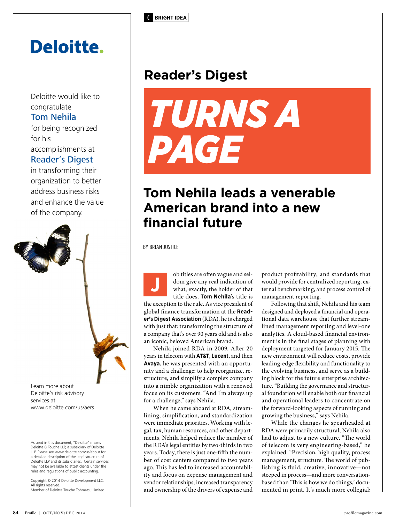**C BRIGHT IDEA**

## **Deloitte.**

Deloitte would like to congratulate Tom Nehila for being recognized for his

accomplishments at Reader's Digest

in transforming their organization to better address business risks and enhance the value of the company.

Learn more about Deloitte's risk advisory services at www.deloitte.com/us/aers

As used in this document, "Deloitte" means Deloitte & Touche LLP, a subsidiary of Deloitte LLP. Please see www.deloitte.com/us/about for a detailed description of the legal structure of Deloitte LLP and its subsidiaries. Certain services may not be available to attest clients under the rules and regulations of public accounting.

Copyright © 2014 Deloitte Development LLC. All rights reserved. Member of Deloitte Touche Tohmatsu Limited

## **Reader's Digest**



## **Tom Nehila leads a venerable American brand into a new financial future**

BY BRIAN JUSTICE

ob titles are often vague and seldom give any real indication of what, exactly, the holder of that title does. **Tom Nehila**'s title is the exception to the rule. As vice president of global finance transformation at the **Reader's Digest Association** (RDA), he is charged with just that: transforming the structure of a company that's over 90 years old and is also an iconic, beloved American brand. **J**

Nehila joined RDA in 2009. After 20 years in telecom with **AT&T**, **Lucent**, and then **Avaya**, he was presented with an opportunity and a challenge: to help reorganize, restructure, and simplify a complex company into a nimble organization with a renewed focus on its customers. "And I'm always up for a challenge," says Nehila.

When he came aboard at RDA, streamlining, simplification, and standardization were immediate priorities. Working with legal, tax, human resources, and other departments, Nehila helped reduce the number of the RDA's legal entities by two-thirds in two years. Today, there is just one-fifth the number of cost centers compared to two years ago. This has led to increased accountability and focus on expense management and vendor relationships; increased transparency and ownership of the drivers of expense and product profitability; and standards that would provide for centralized reporting, external benchmarking, and process control of management reporting.

Following that shift, Nehila and his team designed and deployed a financial and operational data warehouse that further streamlined management reporting and level-one analytics. A cloud-based financial environment is in the final stages of planning with deployment targeted for January 2015. The new environment will reduce costs, provide leading-edge flexibility and functionality to the evolving business, and serve as a building block for the future enterprise architecture. "Building the governance and structural foundation will enable both our financial and operational leaders to concentrate on the forward-looking aspects of running and growing the business," says Nehila.

While the changes he spearheaded at RDA were primarily structural, Nehila also had to adjust to a new culture. "The world of telecom is very engineering-based," he explained. "Precision, high quality, process management, structure. The world of publishing is fluid, creative, innovative—not steeped in process—and more conversationbased than 'This is how we do things,' documented in print. It's much more collegial;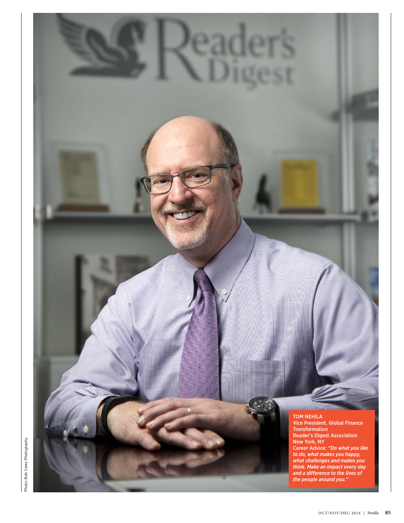

Photo: Bob Carey Photography Photo: Bob Carey Photography